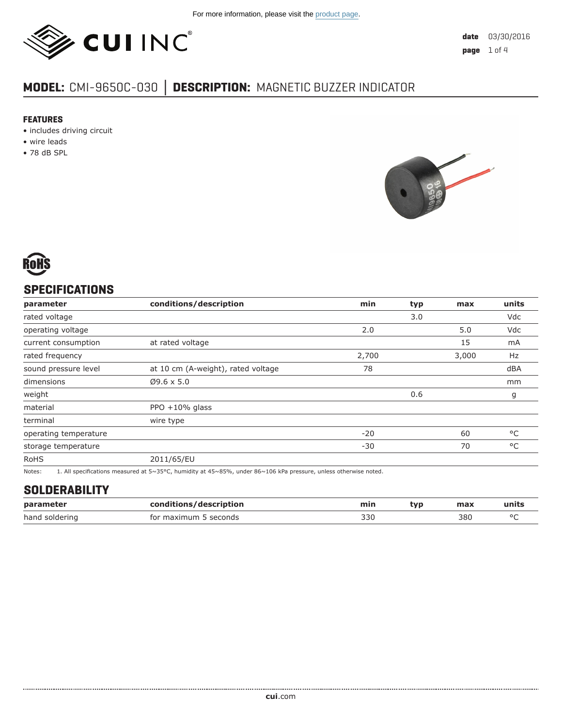

# **MODEL:** CMI-9650C-030 **│ DESCRIPTION:** MAGNETIC BUZZER INDICATOR

#### **FEATURES**

- includes driving circuit
- wire leads
- 78 dB SPL





## **SPECIFICATIONS**

| parameter             | conditions/description             | min   | typ | max   | units        |
|-----------------------|------------------------------------|-------|-----|-------|--------------|
| rated voltage         |                                    |       | 3.0 |       | Vdc          |
| operating voltage     |                                    | 2.0   |     | 5.0   | Vdc          |
| current consumption   | at rated voltage                   |       |     | 15    | mA           |
| rated frequency       |                                    | 2,700 |     | 3,000 | Hz           |
| sound pressure level  | at 10 cm (A-weight), rated voltage | 78    |     |       | dBA          |
| dimensions            | $Ø9.6 \times 5.0$                  |       |     |       | mm           |
| weight                |                                    |       | 0.6 |       | g            |
| material              | PPO $+10\%$ glass                  |       |     |       |              |
| terminal              | wire type                          |       |     |       |              |
| operating temperature |                                    | $-20$ |     | 60    | $^{\circ}$ C |
| storage temperature   |                                    | $-30$ |     | 70    | $^{\circ}$ C |
| <b>RoHS</b>           | 2011/65/EU                         |       |     |       |              |

Notes: 1. All specifications measured at 5~35°C, humidity at 45~85%, under 86~106 kPa pressure, unless otherwise noted.

#### **SOLDERABILITY**

| parameter      | conditions/description | min | tvn | max | units  |
|----------------|------------------------|-----|-----|-----|--------|
| hand soldering | for maximum 5 seconds  | 330 |     | 380 | $\sim$ |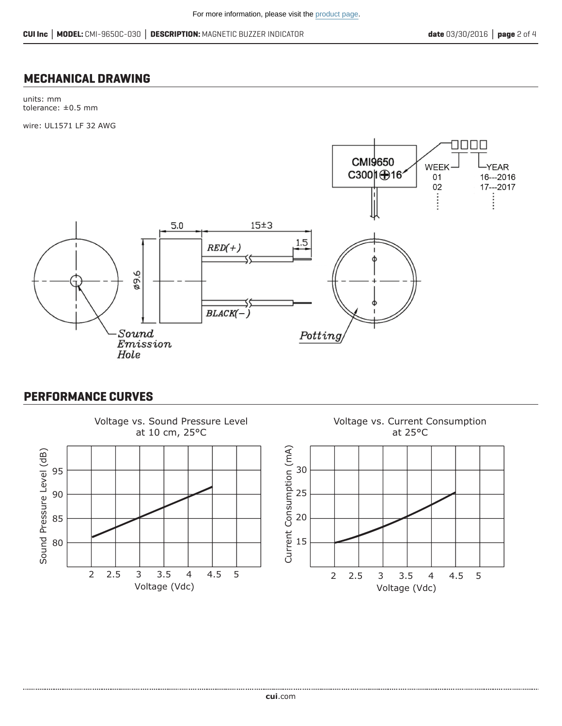#### **MECHANICAL DRAWING**

units: mm tolerance: ±0.5 mm

wire: UL1571 LF 32 AWG



### **PERFORMANCE CURVES**

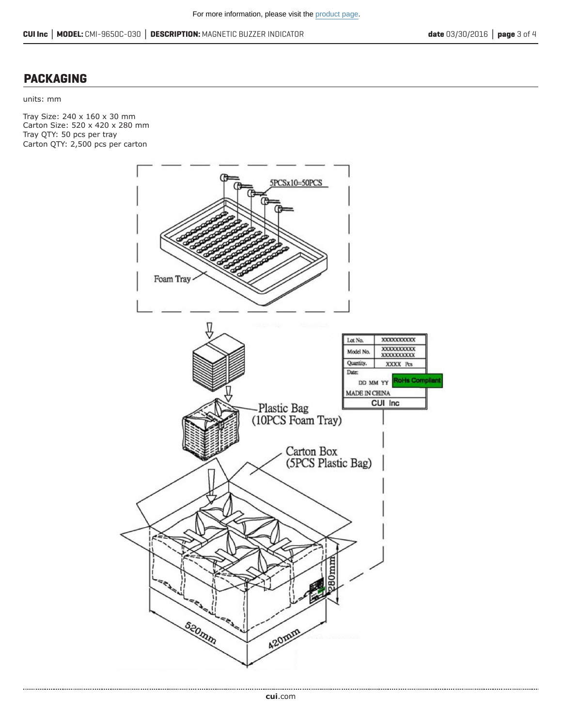#### **PACKAGING**

units: mm

Tray Size: 240 x 160 x 30 mm Carton Size: 520 x 420 x 280 mm Tray QTY: 50 pcs per tray Carton QTY: 2,500 pcs per carton